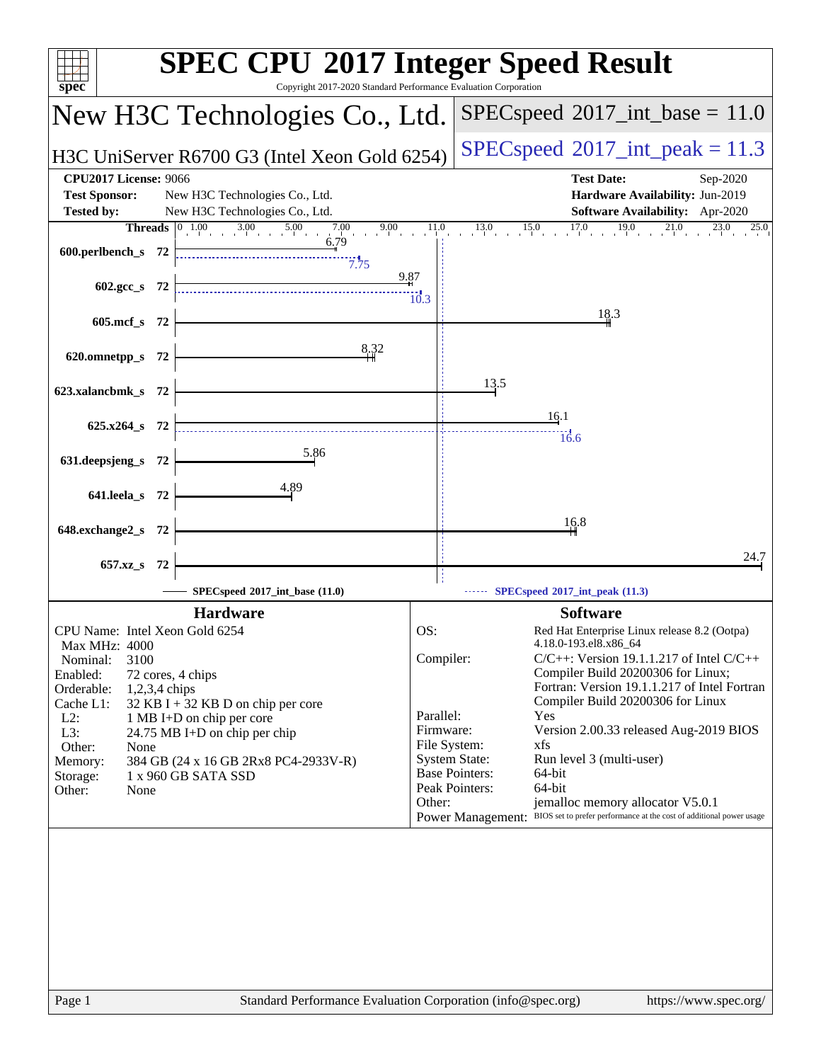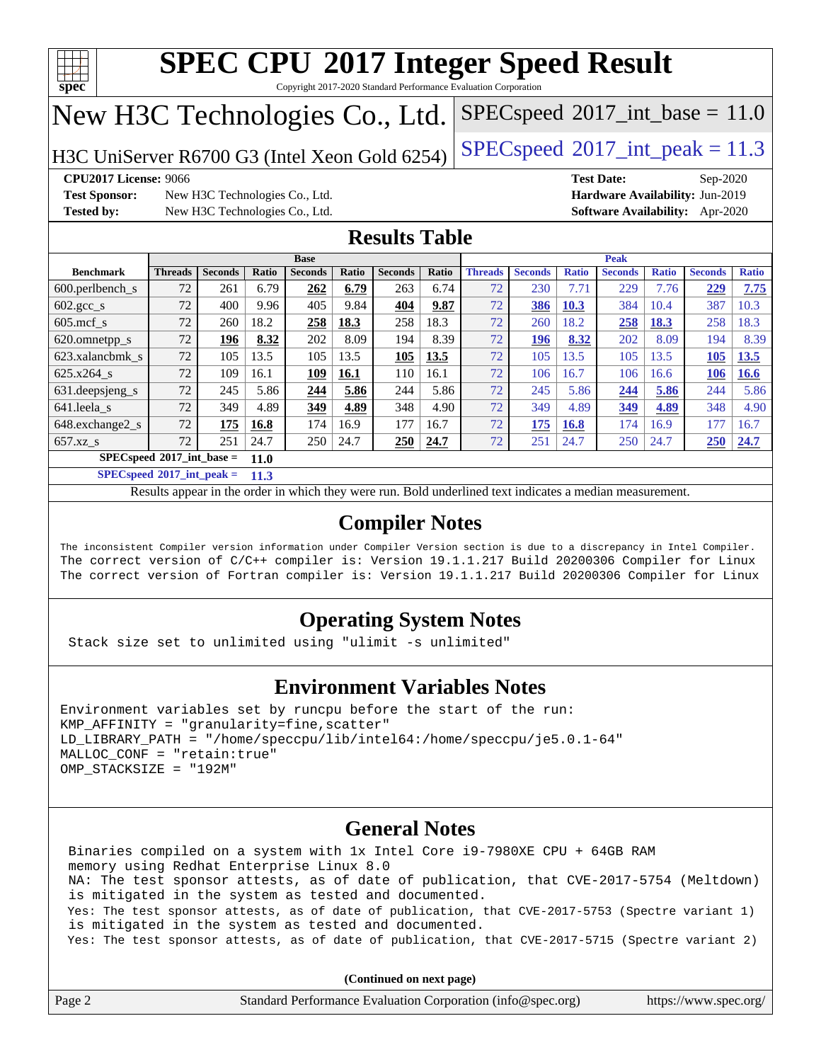

Copyright 2017-2020 Standard Performance Evaluation Corporation

# New H3C Technologies Co., Ltd.

H3C UniServer R6700 G3 (Intel Xeon Gold 6254) [SPECspeed](http://www.spec.org/auto/cpu2017/Docs/result-fields.html#SPECspeed2017intpeak)<sup>®</sup>[2017\\_int\\_peak = 1](http://www.spec.org/auto/cpu2017/Docs/result-fields.html#SPECspeed2017intpeak)1.3

 $SPECspeed^{\circ}2017\_int\_base = 11.0$  $SPECspeed^{\circ}2017\_int\_base = 11.0$ 

**[Test Sponsor:](http://www.spec.org/auto/cpu2017/Docs/result-fields.html#TestSponsor)** New H3C Technologies Co., Ltd. **[Hardware Availability:](http://www.spec.org/auto/cpu2017/Docs/result-fields.html#HardwareAvailability)** Jun-2019 **[Tested by:](http://www.spec.org/auto/cpu2017/Docs/result-fields.html#Testedby)** New H3C Technologies Co., Ltd. **[Software Availability:](http://www.spec.org/auto/cpu2017/Docs/result-fields.html#SoftwareAvailability)** Apr-2020

**[CPU2017 License:](http://www.spec.org/auto/cpu2017/Docs/result-fields.html#CPU2017License)** 9066 **[Test Date:](http://www.spec.org/auto/cpu2017/Docs/result-fields.html#TestDate)** Sep-2020

#### **[Results Table](http://www.spec.org/auto/cpu2017/Docs/result-fields.html#ResultsTable)**

|                                                   | <b>Base</b>    |                |       |                |       |                |       | <b>Peak</b>    |                |              |                |              |                |              |
|---------------------------------------------------|----------------|----------------|-------|----------------|-------|----------------|-------|----------------|----------------|--------------|----------------|--------------|----------------|--------------|
| <b>Benchmark</b>                                  | <b>Threads</b> | <b>Seconds</b> | Ratio | <b>Seconds</b> | Ratio | <b>Seconds</b> | Ratio | <b>Threads</b> | <b>Seconds</b> | <b>Ratio</b> | <b>Seconds</b> | <b>Ratio</b> | <b>Seconds</b> | <b>Ratio</b> |
| $600.$ perlbench s                                | 72             | 261            | 6.79  | 262            | 6.79  | 263            | 6.74  | 72             | 230            | 7.71         | 229            | 7.76         | 229            | 7.75         |
| $602.\text{gcc}\_\text{s}$                        | 72             | 400            | 9.96  | 405            | 9.84  | 404            | 9.87  | 72             | 386            | 10.3         | 384            | 10.4         | 387            | 10.3         |
| $605$ .mcf s                                      | 72             | 260            | 18.2  | 258            | 18.3  | 258            | 18.3  | 72             | 260            | 18.2         | 258            | 18.3         | 258            | 18.3         |
| 620.omnetpp_s                                     | 72             | 196            | 8.32  | 202            | 8.09  | 194            | 8.39  | 72             | 196            | 8.32         | 202            | 8.09         | 194            | 8.39         |
| 623.xalancbmk s                                   | 72             | 105            | 13.5  | 105            | 13.5  | 105            | 13.5  | 72             | 105            | 13.5         | 105            | 13.5         | 105            | 13.5         |
| 625.x264 s                                        | 72             | 109            | 16.1  | 109            | 16.1  | 110            | 16.1  | 72             | 106            | 16.7         | 106            | 16.6         | 106            | 16.6         |
| 631.deepsjeng_s                                   | 72             | 245            | 5.86  | 244            | 5.86  | 244            | 5.86  | 72             | 245            | 5.86         | 244            | 5.86         | 244            | 5.86         |
| 641.leela s                                       | 72             | 349            | 4.89  | 349            | 4.89  | 348            | 4.90  | 72             | 349            | 4.89         | 349            | 4.89         | 348            | 4.90         |
| $648$ . exchange $2 \text{ s}$                    | 72             | 175            | 16.8  | 174            | 16.9  | 177            | 16.7  | 72             | 175            | 16.8         | 174            | 16.9         | 177            | 16.7         |
| $657.xz$ s                                        | 72             | 251            | 24.7  | 250            | 24.7  | 250            | 24.7  | 72             | 251            | 24.7         | 250            | 24.7         | 250            | 24.7         |
| $SPECspeed^{\circ}2017$ int base =<br><b>11.0</b> |                |                |       |                |       |                |       |                |                |              |                |              |                |              |

**[SPECspeed](http://www.spec.org/auto/cpu2017/Docs/result-fields.html#SPECspeed2017intpeak)[2017\\_int\\_peak =](http://www.spec.org/auto/cpu2017/Docs/result-fields.html#SPECspeed2017intpeak) 11.3**

Results appear in the [order in which they were run.](http://www.spec.org/auto/cpu2017/Docs/result-fields.html#RunOrder) Bold underlined text [indicates a median measurement](http://www.spec.org/auto/cpu2017/Docs/result-fields.html#Median).

#### **[Compiler Notes](http://www.spec.org/auto/cpu2017/Docs/result-fields.html#CompilerNotes)**

The inconsistent Compiler version information under Compiler Version section is due to a discrepancy in Intel Compiler. The correct version of C/C++ compiler is: Version 19.1.1.217 Build 20200306 Compiler for Linux The correct version of Fortran compiler is: Version 19.1.1.217 Build 20200306 Compiler for Linux

#### **[Operating System Notes](http://www.spec.org/auto/cpu2017/Docs/result-fields.html#OperatingSystemNotes)**

Stack size set to unlimited using "ulimit -s unlimited"

#### **[Environment Variables Notes](http://www.spec.org/auto/cpu2017/Docs/result-fields.html#EnvironmentVariablesNotes)**

```
Environment variables set by runcpu before the start of the run:
KMP AFFINITY = "granularity=fine, scatter"
LD_LIBRARY_PATH = "/home/speccpu/lib/intel64:/home/speccpu/je5.0.1-64"
MALLOC_CONF = "retain:true"
OMP_STACKSIZE = "192M"
```
#### **[General Notes](http://www.spec.org/auto/cpu2017/Docs/result-fields.html#GeneralNotes)**

 Binaries compiled on a system with 1x Intel Core i9-7980XE CPU + 64GB RAM memory using Redhat Enterprise Linux 8.0 NA: The test sponsor attests, as of date of publication, that CVE-2017-5754 (Meltdown) is mitigated in the system as tested and documented. Yes: The test sponsor attests, as of date of publication, that CVE-2017-5753 (Spectre variant 1) is mitigated in the system as tested and documented. Yes: The test sponsor attests, as of date of publication, that CVE-2017-5715 (Spectre variant 2)

**(Continued on next page)**

| Page 2 | Standard Performance Evaluation Corporation (info@spec.org) | https://www.spec.org/ |
|--------|-------------------------------------------------------------|-----------------------|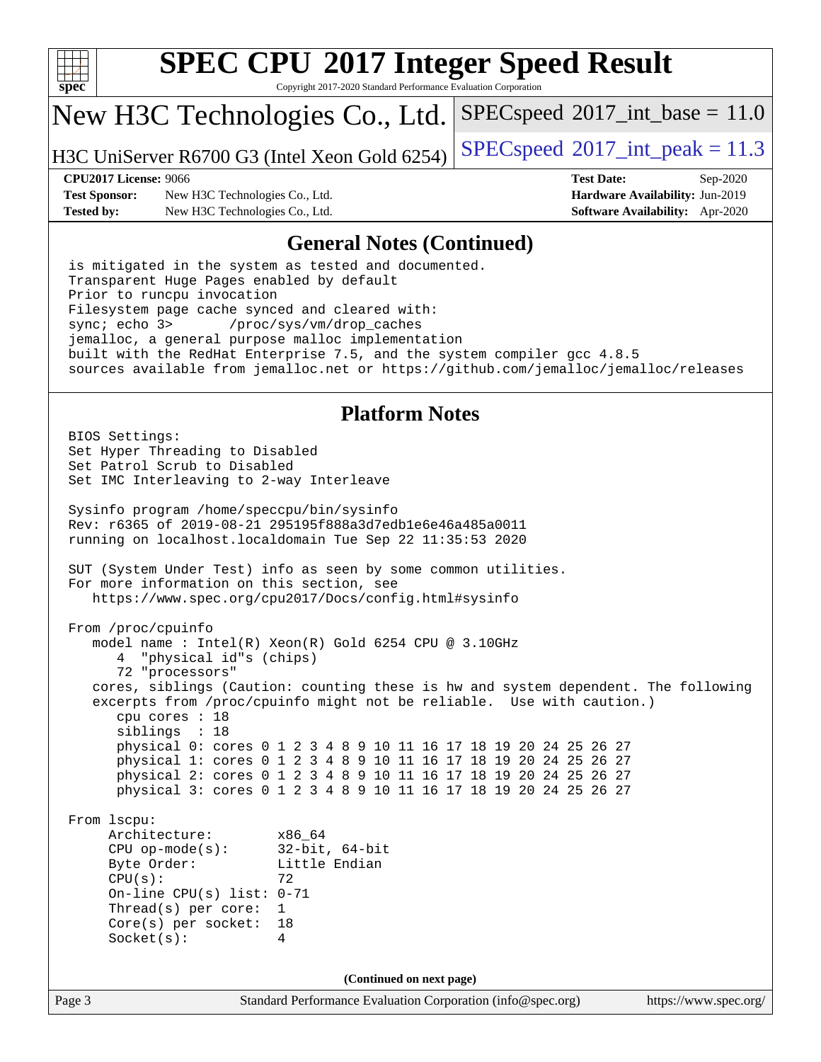

Copyright 2017-2020 Standard Performance Evaluation Corporation

## New H3C Technologies Co., Ltd.

H3C UniServer R6700 G3 (Intel Xeon Gold 6254) [SPECspeed](http://www.spec.org/auto/cpu2017/Docs/result-fields.html#SPECspeed2017intpeak)®[2017\\_int\\_peak = 1](http://www.spec.org/auto/cpu2017/Docs/result-fields.html#SPECspeed2017intpeak)1.3

 $SPECspeed^{\circ}2017\_int\_base = 11.0$  $SPECspeed^{\circ}2017\_int\_base = 11.0$ 

**[Test Sponsor:](http://www.spec.org/auto/cpu2017/Docs/result-fields.html#TestSponsor)** New H3C Technologies Co., Ltd. **[Hardware Availability:](http://www.spec.org/auto/cpu2017/Docs/result-fields.html#HardwareAvailability)** Jun-2019 **[Tested by:](http://www.spec.org/auto/cpu2017/Docs/result-fields.html#Testedby)** New H3C Technologies Co., Ltd. **[Software Availability:](http://www.spec.org/auto/cpu2017/Docs/result-fields.html#SoftwareAvailability)** Apr-2020

**[CPU2017 License:](http://www.spec.org/auto/cpu2017/Docs/result-fields.html#CPU2017License)** 9066 **[Test Date:](http://www.spec.org/auto/cpu2017/Docs/result-fields.html#TestDate)** Sep-2020

#### **[General Notes \(Continued\)](http://www.spec.org/auto/cpu2017/Docs/result-fields.html#GeneralNotes)**

 is mitigated in the system as tested and documented. Transparent Huge Pages enabled by default Prior to runcpu invocation Filesystem page cache synced and cleared with: sync; echo 3> /proc/sys/vm/drop\_caches jemalloc, a general purpose malloc implementation built with the RedHat Enterprise 7.5, and the system compiler gcc 4.8.5 sources available from jemalloc.net or <https://github.com/jemalloc/jemalloc/releases>

#### **[Platform Notes](http://www.spec.org/auto/cpu2017/Docs/result-fields.html#PlatformNotes)**

Page 3 Standard Performance Evaluation Corporation [\(info@spec.org\)](mailto:info@spec.org) <https://www.spec.org/> BIOS Settings: Set Hyper Threading to Disabled Set Patrol Scrub to Disabled Set IMC Interleaving to 2-way Interleave Sysinfo program /home/speccpu/bin/sysinfo Rev: r6365 of 2019-08-21 295195f888a3d7edb1e6e46a485a0011 running on localhost.localdomain Tue Sep 22 11:35:53 2020 SUT (System Under Test) info as seen by some common utilities. For more information on this section, see <https://www.spec.org/cpu2017/Docs/config.html#sysinfo> From /proc/cpuinfo model name : Intel(R) Xeon(R) Gold 6254 CPU @ 3.10GHz 4 "physical id"s (chips) 72 "processors" cores, siblings (Caution: counting these is hw and system dependent. The following excerpts from /proc/cpuinfo might not be reliable. Use with caution.) cpu cores : 18 siblings : 18 physical 0: cores 0 1 2 3 4 8 9 10 11 16 17 18 19 20 24 25 26 27 physical 1: cores 0 1 2 3 4 8 9 10 11 16 17 18 19 20 24 25 26 27 physical 2: cores 0 1 2 3 4 8 9 10 11 16 17 18 19 20 24 25 26 27 physical 3: cores 0 1 2 3 4 8 9 10 11 16 17 18 19 20 24 25 26 27 From lscpu: Architecture: x86\_64 CPU op-mode(s): 32-bit, 64-bit Byte Order: Little Endian  $CPU(s):$  72 On-line CPU(s) list: 0-71 Thread(s) per core: 1 Core(s) per socket: 18 Socket(s): 4 **(Continued on next page)**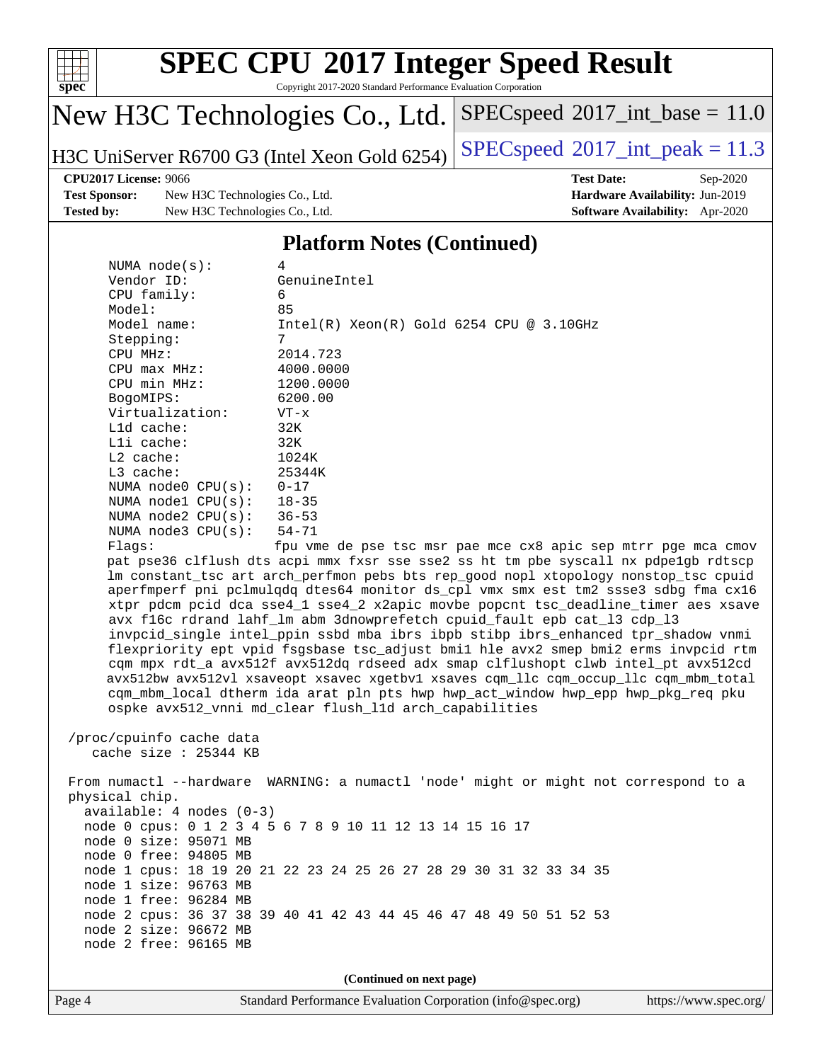

Copyright 2017-2020 Standard Performance Evaluation Corporation

## New H3C Technologies Co., Ltd.

H3C UniServer R6700 G3 (Intel Xeon Gold 6254) [SPECspeed](http://www.spec.org/auto/cpu2017/Docs/result-fields.html#SPECspeed2017intpeak)<sup>®</sup>[2017\\_int\\_peak = 1](http://www.spec.org/auto/cpu2017/Docs/result-fields.html#SPECspeed2017intpeak)1.3

 $SPECspeed^{\circ}2017\_int\_base = 11.0$  $SPECspeed^{\circ}2017\_int\_base = 11.0$ 

**[Test Sponsor:](http://www.spec.org/auto/cpu2017/Docs/result-fields.html#TestSponsor)** New H3C Technologies Co., Ltd. **[Hardware Availability:](http://www.spec.org/auto/cpu2017/Docs/result-fields.html#HardwareAvailability)** Jun-2019 **[Tested by:](http://www.spec.org/auto/cpu2017/Docs/result-fields.html#Testedby)** New H3C Technologies Co., Ltd. **[Software Availability:](http://www.spec.org/auto/cpu2017/Docs/result-fields.html#SoftwareAvailability)** Apr-2020

**[CPU2017 License:](http://www.spec.org/auto/cpu2017/Docs/result-fields.html#CPU2017License)** 9066 **[Test Date:](http://www.spec.org/auto/cpu2017/Docs/result-fields.html#TestDate)** Sep-2020

#### **[Platform Notes \(Continued\)](http://www.spec.org/auto/cpu2017/Docs/result-fields.html#PlatformNotes)**

| NUMA $node(s):$            | 4                                                                                                                  |
|----------------------------|--------------------------------------------------------------------------------------------------------------------|
| Vendor ID:                 | GenuineIntel                                                                                                       |
| CPU family:                | 6                                                                                                                  |
| Model:                     | 85                                                                                                                 |
| Model name:                | $Intel(R)$ Xeon $(R)$ Gold 6254 CPU @ 3.10GHz                                                                      |
| Stepping:                  | 7                                                                                                                  |
| CPU MHz:                   | 2014.723                                                                                                           |
| $CPU$ max $MHz$ :          | 4000.0000                                                                                                          |
| CPU min MHz:               | 1200.0000                                                                                                          |
| BogoMIPS:                  | 6200.00                                                                                                            |
| Virtualization:            | $VT - x$                                                                                                           |
| $L1d$ cache:               | 32K                                                                                                                |
| Lli cache:                 | 32K                                                                                                                |
| $L2$ cache:                | 1024K                                                                                                              |
| $L3$ cache:                | 25344K                                                                                                             |
| NUMA node0 CPU(s):         | $0 - 17$                                                                                                           |
| NUMA $node1$ $CPU(s):$     | $18 - 35$                                                                                                          |
| NUMA node2 $CPU(s):$ 36-53 |                                                                                                                    |
| NUMA $node3$ $CPU(s)$ :    | 54-71                                                                                                              |
| Flaqs:                     | fpu vme de pse tsc msr pae mce cx8 apic sep mtrr pge mca cmov                                                      |
|                            | pat pse36 clflush dts acpi mmx fxsr sse sse2 ss ht tm pbe syscall nx pdpelgb rdtscp                                |
|                            | Im constant_tsc art arch_perfmon pebs bts rep_good nopl xtopology nonstop_tsc cpuid                                |
|                            | aperfmperf pni pclmulqdq dtes64 monitor ds_cpl vmx smx est tm2 ssse3 sdbg fma cx16                                 |
|                            | xtpr pdcm pcid dca sse4_1 sse4_2 x2apic movbe popcnt tsc_deadline_timer aes xsave                                  |
|                            | avx f16c rdrand lahf_lm abm 3dnowprefetch cpuid_fault epb cat_13 cdp_13                                            |
|                            | invpcid_single intel_ppin ssbd mba ibrs ibpb stibp ibrs_enhanced tpr_shadow vnmi                                   |
|                            | flexpriority ept vpid fsgsbase tsc_adjust bmil hle avx2 smep bmi2 erms invpcid rtm                                 |
|                            | $com\ must\ with\ a\ ourE12f\ ourE12da\ radacod\ allx\ can\ allfilubont\ allv\,\ into\ in\ in\ in\ in\ in\ in\ I\$ |

pr\_shadow vnmi ms invpcid rtm cqm mpx rdt\_a avx512f avx512dq rdseed adx smap clflushopt clwb intel\_pt avx512cd avx512bw avx512vl xsaveopt xsavec xgetbv1 xsaves cqm\_llc cqm\_occup\_llc cqm\_mbm\_total cqm\_mbm\_local dtherm ida arat pln pts hwp hwp\_act\_window hwp\_epp hwp\_pkg\_req pku ospke avx512\_vnni md\_clear flush\_l1d arch\_capabilities

#### /proc/cpuinfo cache data cache size : 25344 KB

 From numactl --hardware WARNING: a numactl 'node' might or might not correspond to a physical chip. available: 4 nodes (0-3) node 0 cpus: 0 1 2 3 4 5 6 7 8 9 10 11 12 13 14 15 16 17 node 0 size: 95071 MB node 0 free: 94805 MB node 1 cpus: 18 19 20 21 22 23 24 25 26 27 28 29 30 31 32 33 34 35 node 1 size: 96763 MB node 1 free: 96284 MB node 2 cpus: 36 37 38 39 40 41 42 43 44 45 46 47 48 49 50 51 52 53 node 2 size: 96672 MB node 2 free: 96165 MB

**(Continued on next page)**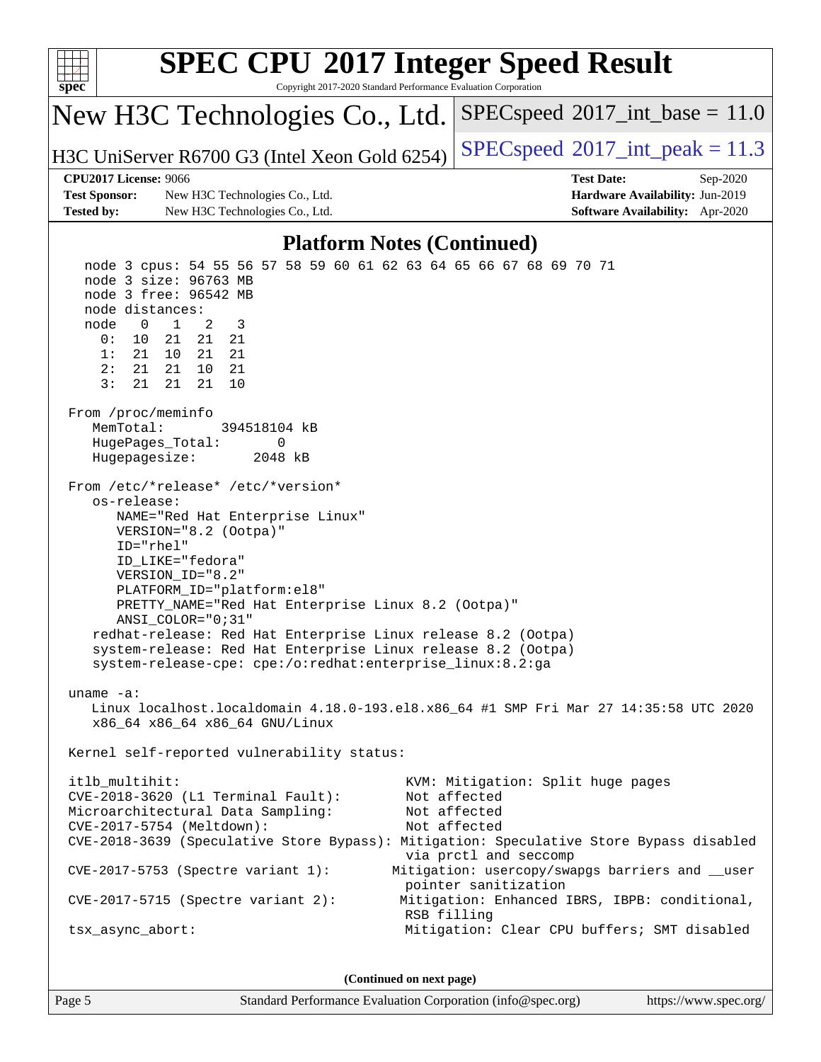| <b>SPEC CPU®2017 Integer Speed Result</b><br>Copyright 2017-2020 Standard Performance Evaluation Corporation<br>$spec^*$                                                                                                                                                                                                                                                                                                                                                                                                                                                                                                                                                                                                                                                                                                                                                                                                                                                                                                                                                                                                                                                                                                                                                                                                               |                                                                                                            |
|----------------------------------------------------------------------------------------------------------------------------------------------------------------------------------------------------------------------------------------------------------------------------------------------------------------------------------------------------------------------------------------------------------------------------------------------------------------------------------------------------------------------------------------------------------------------------------------------------------------------------------------------------------------------------------------------------------------------------------------------------------------------------------------------------------------------------------------------------------------------------------------------------------------------------------------------------------------------------------------------------------------------------------------------------------------------------------------------------------------------------------------------------------------------------------------------------------------------------------------------------------------------------------------------------------------------------------------|------------------------------------------------------------------------------------------------------------|
| New H3C Technologies Co., Ltd.                                                                                                                                                                                                                                                                                                                                                                                                                                                                                                                                                                                                                                                                                                                                                                                                                                                                                                                                                                                                                                                                                                                                                                                                                                                                                                         | $SPEC speed^{\circ}2017\_int\_base = 11.0$                                                                 |
| H3C UniServer R6700 G3 (Intel Xeon Gold 6254)                                                                                                                                                                                                                                                                                                                                                                                                                                                                                                                                                                                                                                                                                                                                                                                                                                                                                                                                                                                                                                                                                                                                                                                                                                                                                          | $SPEC speed^{\circ}2017\_int\_peak = 11.3$                                                                 |
| CPU2017 License: 9066                                                                                                                                                                                                                                                                                                                                                                                                                                                                                                                                                                                                                                                                                                                                                                                                                                                                                                                                                                                                                                                                                                                                                                                                                                                                                                                  | <b>Test Date:</b><br>Sep-2020                                                                              |
| <b>Test Sponsor:</b><br>New H3C Technologies Co., Ltd.                                                                                                                                                                                                                                                                                                                                                                                                                                                                                                                                                                                                                                                                                                                                                                                                                                                                                                                                                                                                                                                                                                                                                                                                                                                                                 | Hardware Availability: Jun-2019                                                                            |
| <b>Tested by:</b><br>New H3C Technologies Co., Ltd.                                                                                                                                                                                                                                                                                                                                                                                                                                                                                                                                                                                                                                                                                                                                                                                                                                                                                                                                                                                                                                                                                                                                                                                                                                                                                    | Software Availability: Apr-2020                                                                            |
| <b>Platform Notes (Continued)</b>                                                                                                                                                                                                                                                                                                                                                                                                                                                                                                                                                                                                                                                                                                                                                                                                                                                                                                                                                                                                                                                                                                                                                                                                                                                                                                      |                                                                                                            |
| node 3 cpus: 54 55 56 57 58 59 60 61 62 63 64 65 66 67 68 69 70 71<br>node 3 size: 96763 MB<br>node 3 free: 96542 MB<br>node distances:<br>$\overline{a}$<br>$\mathbf 0$<br>$\mathbf{1}$<br>3<br>node<br>0:<br>10<br>21<br>21<br>21<br>1:<br>21<br>10<br>21<br>21<br>2:<br>21<br>21<br>10<br>21<br>3:<br>10<br>21<br>21<br>21<br>From /proc/meminfo<br>MemTotal:<br>394518104 kB<br>HugePages_Total:<br>0<br>Hugepagesize:<br>2048 kB<br>From /etc/*release* /etc/*version*<br>os-release:<br>NAME="Red Hat Enterprise Linux"<br>VERSION="8.2 (Ootpa)"<br>ID="rhel"<br>ID_LIKE="fedora"<br>VERSION ID="8.2"<br>PLATFORM_ID="platform:el8"<br>PRETTY_NAME="Red Hat Enterprise Linux 8.2 (Ootpa)"<br>$ANSI$ _COLOR=" $0:31$ "<br>redhat-release: Red Hat Enterprise Linux release 8.2 (Ootpa)<br>system-release: Red Hat Enterprise Linux release 8.2 (Ootpa)<br>system-release-cpe: cpe:/o:redhat:enterprise_linux:8.2:ga<br>uname $-a$ :<br>Linux localhost.localdomain 4.18.0-193.el8.x86_64 #1 SMP Fri Mar 27 14:35:58 UTC 2020<br>x86_64 x86_64 x86_64 GNU/Linux<br>Kernel self-reported vulnerability status:<br>itlb_multihit:<br>CVE-2018-3620 (L1 Terminal Fault):<br>Microarchitectural Data Sampling:<br>CVE-2017-5754 (Meltdown):<br>CVE-2018-3639 (Speculative Store Bypass): Mitigation: Speculative Store Bypass disabled | KVM: Mitigation: Split huge pages<br>Not affected<br>Not affected<br>Not affected<br>via prctl and seccomp |
| $CVE-2017-5753$ (Spectre variant 1):                                                                                                                                                                                                                                                                                                                                                                                                                                                                                                                                                                                                                                                                                                                                                                                                                                                                                                                                                                                                                                                                                                                                                                                                                                                                                                   | Mitigation: usercopy/swapgs barriers and __user<br>pointer sanitization                                    |
| $CVE-2017-5715$ (Spectre variant 2):                                                                                                                                                                                                                                                                                                                                                                                                                                                                                                                                                                                                                                                                                                                                                                                                                                                                                                                                                                                                                                                                                                                                                                                                                                                                                                   | Mitigation: Enhanced IBRS, IBPB: conditional,<br>RSB filling                                               |
| tsx_async_abort:                                                                                                                                                                                                                                                                                                                                                                                                                                                                                                                                                                                                                                                                                                                                                                                                                                                                                                                                                                                                                                                                                                                                                                                                                                                                                                                       | Mitigation: Clear CPU buffers; SMT disabled                                                                |
| (Continued on next page)                                                                                                                                                                                                                                                                                                                                                                                                                                                                                                                                                                                                                                                                                                                                                                                                                                                                                                                                                                                                                                                                                                                                                                                                                                                                                                               |                                                                                                            |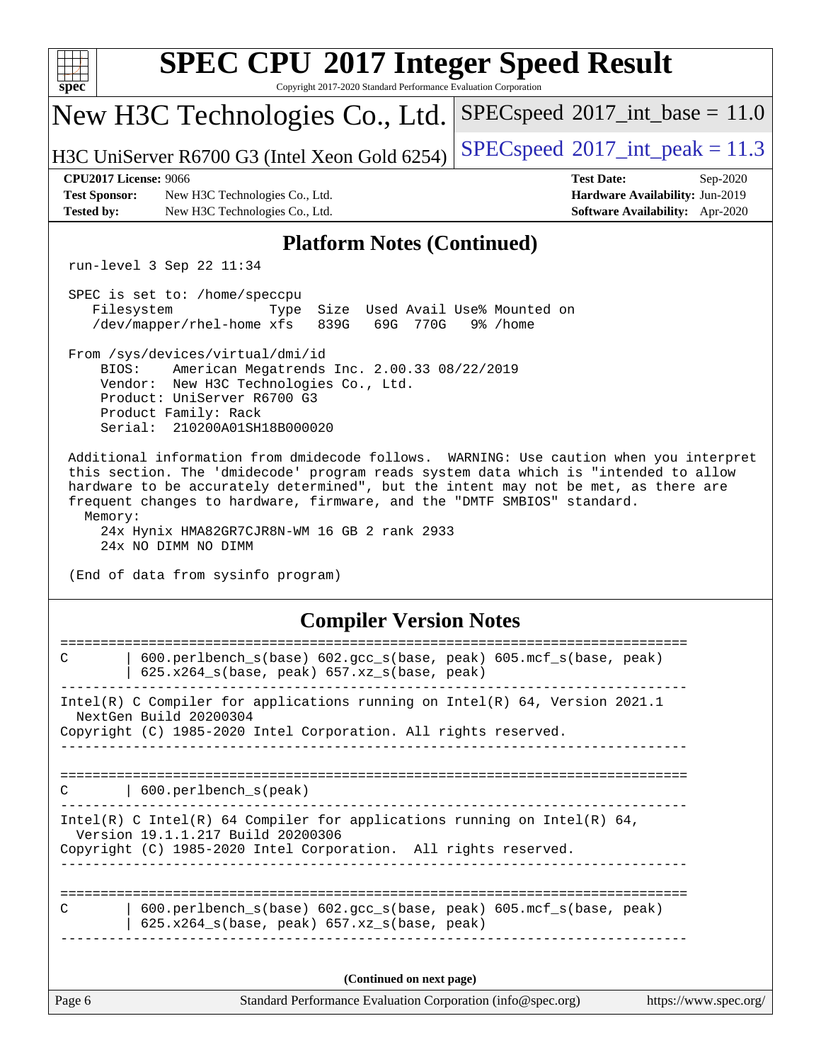| <b>SPEC CPU®2017 Integer Speed Result</b><br>Copyright 2017-2020 Standard Performance Evaluation Corporation<br>$spec^*$                                                                                                                                                                                                                                                                                                         |                                                                                |  |  |  |  |  |  |
|----------------------------------------------------------------------------------------------------------------------------------------------------------------------------------------------------------------------------------------------------------------------------------------------------------------------------------------------------------------------------------------------------------------------------------|--------------------------------------------------------------------------------|--|--|--|--|--|--|
| New H3C Technologies Co., Ltd.                                                                                                                                                                                                                                                                                                                                                                                                   | $SPEC speed^{\circ}2017\_int\_base = 11.0$                                     |  |  |  |  |  |  |
| H3C UniServer R6700 G3 (Intel Xeon Gold 6254)                                                                                                                                                                                                                                                                                                                                                                                    | $SPEC speed^{\circ}2017\_int\_peak = 11.3$                                     |  |  |  |  |  |  |
| <b>CPU2017 License: 9066</b><br><b>Test Date:</b><br><b>Test Sponsor:</b><br>New H3C Technologies Co., Ltd.<br><b>Tested by:</b><br>New H3C Technologies Co., Ltd.                                                                                                                                                                                                                                                               | Sep-2020<br>Hardware Availability: Jun-2019<br>Software Availability: Apr-2020 |  |  |  |  |  |  |
| <b>Platform Notes (Continued)</b>                                                                                                                                                                                                                                                                                                                                                                                                |                                                                                |  |  |  |  |  |  |
| run-level 3 Sep 22 11:34                                                                                                                                                                                                                                                                                                                                                                                                         |                                                                                |  |  |  |  |  |  |
| SPEC is set to: /home/speccpu<br>Filesystem<br>Size Used Avail Use% Mounted on<br>Type<br>/dev/mapper/rhel-home xfs<br>839G<br>69G<br>770G<br>9% /home                                                                                                                                                                                                                                                                           |                                                                                |  |  |  |  |  |  |
| From /sys/devices/virtual/dmi/id<br>BIOS:<br>American Megatrends Inc. 2.00.33 08/22/2019<br>Vendor: New H3C Technologies Co., Ltd.<br>Product: UniServer R6700 G3<br>Product Family: Rack<br>Serial: 210200A01SH18B000020                                                                                                                                                                                                        |                                                                                |  |  |  |  |  |  |
| Additional information from dmidecode follows. WARNING: Use caution when you interpret<br>this section. The 'dmidecode' program reads system data which is "intended to allow<br>hardware to be accurately determined", but the intent may not be met, as there are<br>frequent changes to hardware, firmware, and the "DMTF SMBIOS" standard.<br>Memory:<br>24x Hynix HMA82GR7CJR8N-WM 16 GB 2 rank 2933<br>24x NO DIMM NO DIMM |                                                                                |  |  |  |  |  |  |
| (End of data from sysinfo program)                                                                                                                                                                                                                                                                                                                                                                                               |                                                                                |  |  |  |  |  |  |
| <b>Compiler Version Notes</b>                                                                                                                                                                                                                                                                                                                                                                                                    |                                                                                |  |  |  |  |  |  |
| $\mathsf{C}$<br>600.perlbench_s(base) 602.gcc_s(base, peak) 605.mcf_s(base, peak)<br>625.x264_s(base, peak) 657.xz_s(base, peak)                                                                                                                                                                                                                                                                                                 |                                                                                |  |  |  |  |  |  |
| Intel(R) C Compiler for applications running on Intel(R) 64, Version 2021.1<br>NextGen Build 20200304<br>Copyright (C) 1985-2020 Intel Corporation. All rights reserved.                                                                                                                                                                                                                                                         |                                                                                |  |  |  |  |  |  |
|                                                                                                                                                                                                                                                                                                                                                                                                                                  |                                                                                |  |  |  |  |  |  |
| 600.perlbench_s(peak)<br>C                                                                                                                                                                                                                                                                                                                                                                                                       |                                                                                |  |  |  |  |  |  |
| Intel(R) C Intel(R) 64 Compiler for applications running on Intel(R) 64,<br>Version 19.1.1.217 Build 20200306<br>Copyright (C) 1985-2020 Intel Corporation. All rights reserved.<br>_________________                                                                                                                                                                                                                            |                                                                                |  |  |  |  |  |  |
| 600.perlbench_s(base) 602.gcc_s(base, peak) 605.mcf_s(base, peak)<br>C<br>625.x264_s(base, peak) 657.xz_s(base, peak)                                                                                                                                                                                                                                                                                                            |                                                                                |  |  |  |  |  |  |
| (Continued on next page)                                                                                                                                                                                                                                                                                                                                                                                                         |                                                                                |  |  |  |  |  |  |
| Page 6<br>Standard Performance Evaluation Corporation (info@spec.org)                                                                                                                                                                                                                                                                                                                                                            | https://www.spec.org/                                                          |  |  |  |  |  |  |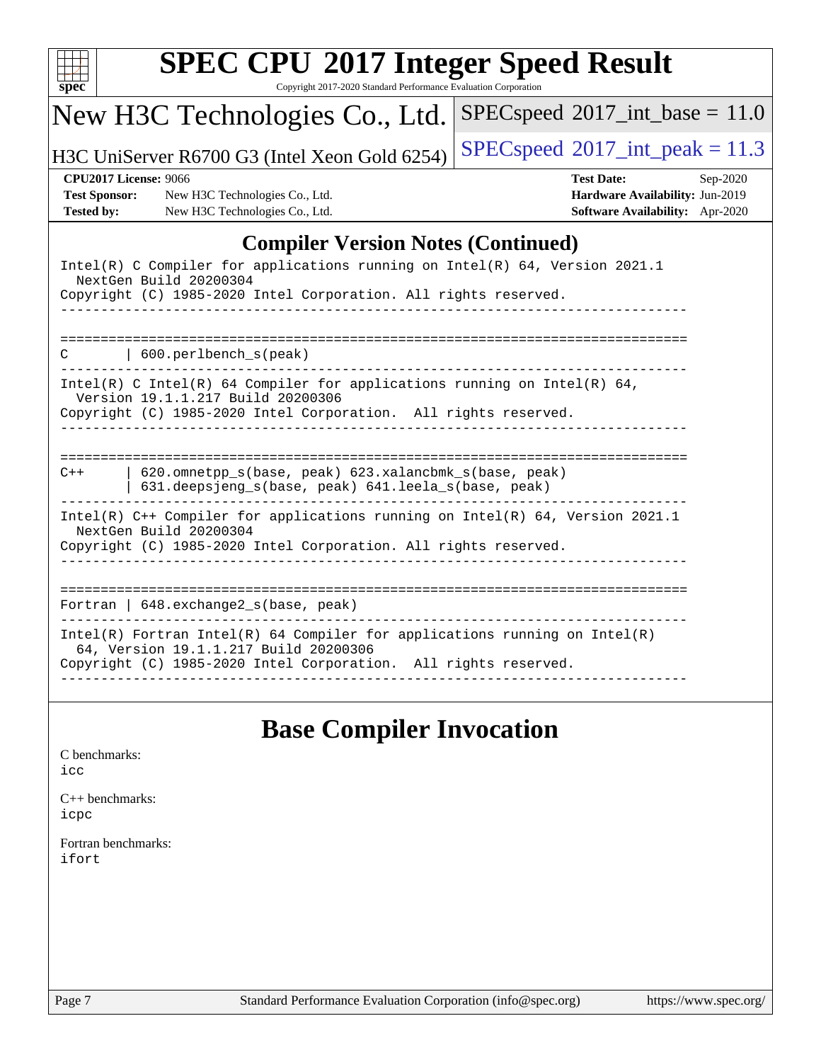| New H3C Technologies Co., Ltd.                                                                                                                                                           | $SPEC speed^{\circ}2017\_int\_base = 11.0$                                                            |
|------------------------------------------------------------------------------------------------------------------------------------------------------------------------------------------|-------------------------------------------------------------------------------------------------------|
| H3C UniServer R6700 G3 (Intel Xeon Gold 6254)                                                                                                                                            | $SPEC speed^{\circ}2017\_int\_peak = 11.3$                                                            |
| <b>CPU2017 License: 9066</b><br><b>Test Sponsor:</b><br>New H3C Technologies Co., Ltd.<br>New H3C Technologies Co., Ltd.<br><b>Tested by:</b>                                            | <b>Test Date:</b><br>$Sep-2020$<br>Hardware Availability: Jun-2019<br>Software Availability: Apr-2020 |
|                                                                                                                                                                                          | <b>Compiler Version Notes (Continued)</b>                                                             |
| Intel(R) C Compiler for applications running on Intel(R) 64, Version 2021.1<br>NextGen Build 20200304<br>Copyright (C) 1985-2020 Intel Corporation. All rights reserved.                 |                                                                                                       |
| 600.perlbench_s(peak)<br>◠                                                                                                                                                               |                                                                                                       |
| Intel(R) C Intel(R) 64 Compiler for applications running on Intel(R) 64,<br>Version 19.1.1.217 Build 20200306<br>Copyright (C) 1985-2020 Intel Corporation. All rights reserved.         |                                                                                                       |
| 620.omnetpp_s(base, peak) 623.xalancbmk_s(base, peak)<br>$C++$<br>631.deepsjeng_s(base, peak) 641.leela_s(base, peak)                                                                    |                                                                                                       |
| Intel(R) C++ Compiler for applications running on Intel(R) 64, Version 2021.1<br>NextGen Build 20200304<br>Copyright (C) 1985-2020 Intel Corporation. All rights reserved.               |                                                                                                       |
| Fortran   648. exchange2_s(base, peak)                                                                                                                                                   | _____________________________________                                                                 |
| $Intel(R)$ Fortran Intel(R) 64 Compiler for applications running on Intel(R)<br>64, Version 19.1.1.217 Build 20200306<br>Copyright (C) 1985-2020 Intel Corporation. All rights reserved. |                                                                                                       |

# **[Base Compiler Invocation](http://www.spec.org/auto/cpu2017/Docs/result-fields.html#BaseCompilerInvocation)**

| C benchmarks: |
|---------------|
| icc           |

[C++ benchmarks:](http://www.spec.org/auto/cpu2017/Docs/result-fields.html#CXXbenchmarks) [icpc](http://www.spec.org/cpu2017/results/res2020q4/cpu2017-20200927-24030.flags.html#user_CXXbase_intel_icpc_c510b6838c7f56d33e37e94d029a35b4a7bccf4766a728ee175e80a419847e808290a9b78be685c44ab727ea267ec2f070ec5dc83b407c0218cded6866a35d07)

[Fortran benchmarks](http://www.spec.org/auto/cpu2017/Docs/result-fields.html#Fortranbenchmarks): [ifort](http://www.spec.org/cpu2017/results/res2020q4/cpu2017-20200927-24030.flags.html#user_FCbase_intel_ifort_8111460550e3ca792625aed983ce982f94888b8b503583aa7ba2b8303487b4d8a21a13e7191a45c5fd58ff318f48f9492884d4413fa793fd88dd292cad7027ca)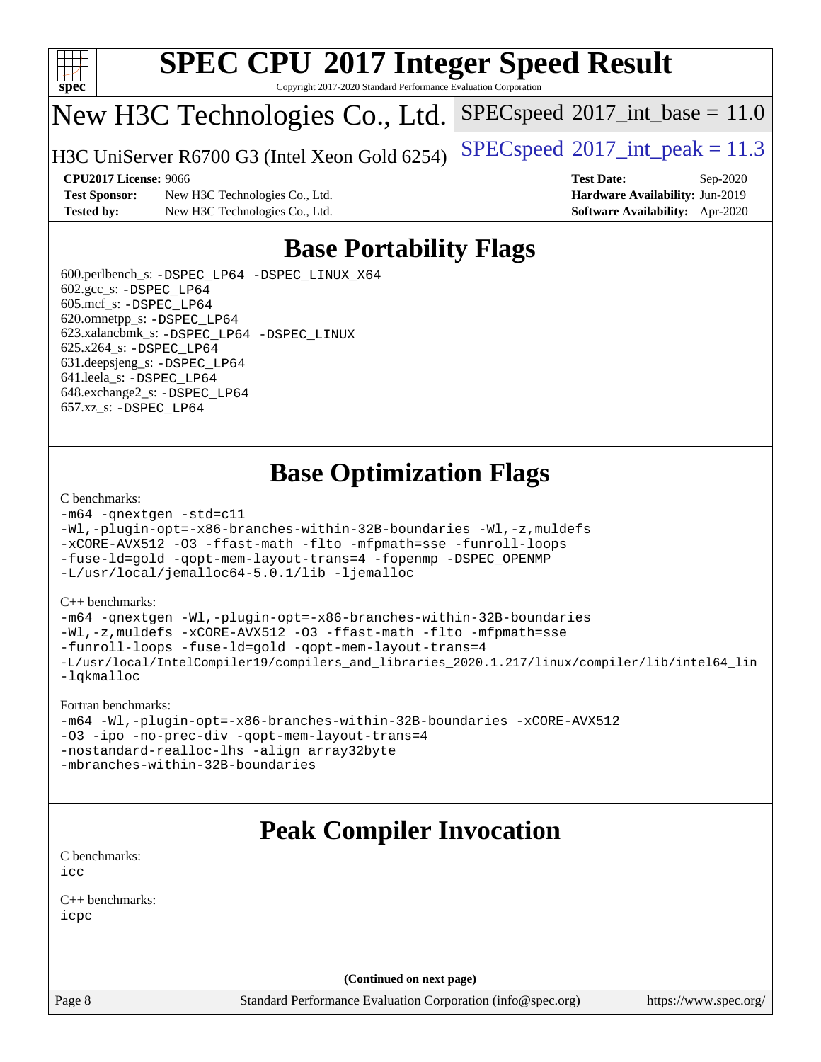

Copyright 2017-2020 Standard Performance Evaluation Corporation

## New H3C Technologies Co., Ltd.

H3C UniServer R6700 G3 (Intel Xeon Gold 6254) [SPECspeed](http://www.spec.org/auto/cpu2017/Docs/result-fields.html#SPECspeed2017intpeak)®[2017\\_int\\_peak = 1](http://www.spec.org/auto/cpu2017/Docs/result-fields.html#SPECspeed2017intpeak)1.3

 $SPECspeed^{\circ}2017\_int\_base = 11.0$  $SPECspeed^{\circ}2017\_int\_base = 11.0$ 

**[Test Sponsor:](http://www.spec.org/auto/cpu2017/Docs/result-fields.html#TestSponsor)** New H3C Technologies Co., Ltd. **[Hardware Availability:](http://www.spec.org/auto/cpu2017/Docs/result-fields.html#HardwareAvailability)** Jun-2019 **[Tested by:](http://www.spec.org/auto/cpu2017/Docs/result-fields.html#Testedby)** New H3C Technologies Co., Ltd. **[Software Availability:](http://www.spec.org/auto/cpu2017/Docs/result-fields.html#SoftwareAvailability)** Apr-2020

**[CPU2017 License:](http://www.spec.org/auto/cpu2017/Docs/result-fields.html#CPU2017License)** 9066 **[Test Date:](http://www.spec.org/auto/cpu2017/Docs/result-fields.html#TestDate)** Sep-2020

## **[Base Portability Flags](http://www.spec.org/auto/cpu2017/Docs/result-fields.html#BasePortabilityFlags)**

 600.perlbench\_s: [-DSPEC\\_LP64](http://www.spec.org/cpu2017/results/res2020q4/cpu2017-20200927-24030.flags.html#b600.perlbench_s_basePORTABILITY_DSPEC_LP64) [-DSPEC\\_LINUX\\_X64](http://www.spec.org/cpu2017/results/res2020q4/cpu2017-20200927-24030.flags.html#b600.perlbench_s_baseCPORTABILITY_DSPEC_LINUX_X64) 602.gcc\_s: [-DSPEC\\_LP64](http://www.spec.org/cpu2017/results/res2020q4/cpu2017-20200927-24030.flags.html#suite_basePORTABILITY602_gcc_s_DSPEC_LP64) 605.mcf\_s: [-DSPEC\\_LP64](http://www.spec.org/cpu2017/results/res2020q4/cpu2017-20200927-24030.flags.html#suite_basePORTABILITY605_mcf_s_DSPEC_LP64) 620.omnetpp\_s: [-DSPEC\\_LP64](http://www.spec.org/cpu2017/results/res2020q4/cpu2017-20200927-24030.flags.html#suite_basePORTABILITY620_omnetpp_s_DSPEC_LP64) 623.xalancbmk\_s: [-DSPEC\\_LP64](http://www.spec.org/cpu2017/results/res2020q4/cpu2017-20200927-24030.flags.html#suite_basePORTABILITY623_xalancbmk_s_DSPEC_LP64) [-DSPEC\\_LINUX](http://www.spec.org/cpu2017/results/res2020q4/cpu2017-20200927-24030.flags.html#b623.xalancbmk_s_baseCXXPORTABILITY_DSPEC_LINUX) 625.x264\_s: [-DSPEC\\_LP64](http://www.spec.org/cpu2017/results/res2020q4/cpu2017-20200927-24030.flags.html#suite_basePORTABILITY625_x264_s_DSPEC_LP64) 631.deepsjeng\_s: [-DSPEC\\_LP64](http://www.spec.org/cpu2017/results/res2020q4/cpu2017-20200927-24030.flags.html#suite_basePORTABILITY631_deepsjeng_s_DSPEC_LP64) 641.leela\_s: [-DSPEC\\_LP64](http://www.spec.org/cpu2017/results/res2020q4/cpu2017-20200927-24030.flags.html#suite_basePORTABILITY641_leela_s_DSPEC_LP64) 648.exchange2\_s: [-DSPEC\\_LP64](http://www.spec.org/cpu2017/results/res2020q4/cpu2017-20200927-24030.flags.html#suite_basePORTABILITY648_exchange2_s_DSPEC_LP64) 657.xz\_s: [-DSPEC\\_LP64](http://www.spec.org/cpu2017/results/res2020q4/cpu2017-20200927-24030.flags.html#suite_basePORTABILITY657_xz_s_DSPEC_LP64)

## **[Base Optimization Flags](http://www.spec.org/auto/cpu2017/Docs/result-fields.html#BaseOptimizationFlags)**

#### [C benchmarks](http://www.spec.org/auto/cpu2017/Docs/result-fields.html#Cbenchmarks):

```
-m64 -qnextgen -std=c11
-Wl,-plugin-opt=-x86-branches-within-32B-boundaries -Wl,-z,muldefs
-xCORE-AVX512 -O3 -ffast-math -flto -mfpmath=sse -funroll-loops
-fuse-ld=gold -qopt-mem-layout-trans=4 -fopenmp -DSPEC_OPENMP
-L/usr/local/jemalloc64-5.0.1/lib -ljemalloc
```
#### [C++ benchmarks:](http://www.spec.org/auto/cpu2017/Docs/result-fields.html#CXXbenchmarks)

```
-m64 -qnextgen -Wl,-plugin-opt=-x86-branches-within-32B-boundaries
-Wl,-z,muldefs -xCORE-AVX512 -O3 -ffast-math -flto -mfpmath=sse
-funroll-loops -fuse-ld=gold -qopt-mem-layout-trans=4
-L/usr/local/IntelCompiler19/compilers_and_libraries_2020.1.217/linux/compiler/lib/intel64_lin
-lqkmalloc
```
#### [Fortran benchmarks:](http://www.spec.org/auto/cpu2017/Docs/result-fields.html#Fortranbenchmarks)

```
-m64 -Wl,-plugin-opt=-x86-branches-within-32B-boundaries -xCORE-AVX512
-O3 -ipo -no-prec-div -qopt-mem-layout-trans=4
-nostandard-realloc-lhs -align array32byte
-mbranches-within-32B-boundaries
```
### **[Peak Compiler Invocation](http://www.spec.org/auto/cpu2017/Docs/result-fields.html#PeakCompilerInvocation)**

[C benchmarks](http://www.spec.org/auto/cpu2017/Docs/result-fields.html#Cbenchmarks): [icc](http://www.spec.org/cpu2017/results/res2020q4/cpu2017-20200927-24030.flags.html#user_CCpeak_intel_icc_66fc1ee009f7361af1fbd72ca7dcefbb700085f36577c54f309893dd4ec40d12360134090235512931783d35fd58c0460139e722d5067c5574d8eaf2b3e37e92)

[C++ benchmarks:](http://www.spec.org/auto/cpu2017/Docs/result-fields.html#CXXbenchmarks) [icpc](http://www.spec.org/cpu2017/results/res2020q4/cpu2017-20200927-24030.flags.html#user_CXXpeak_intel_icpc_c510b6838c7f56d33e37e94d029a35b4a7bccf4766a728ee175e80a419847e808290a9b78be685c44ab727ea267ec2f070ec5dc83b407c0218cded6866a35d07)

**(Continued on next page)**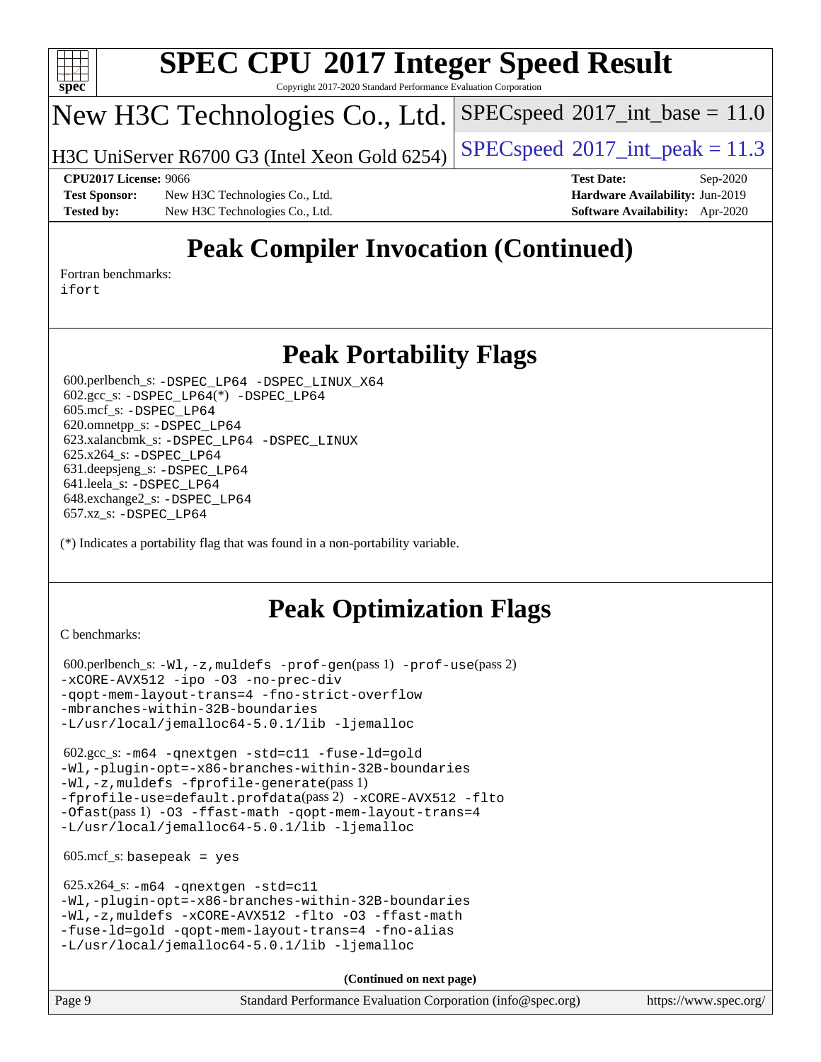

Copyright 2017-2020 Standard Performance Evaluation Corporation

# New H3C Technologies Co., Ltd.

H3C UniServer R6700 G3 (Intel Xeon Gold 6254) [SPECspeed](http://www.spec.org/auto/cpu2017/Docs/result-fields.html#SPECspeed2017intpeak)®[2017\\_int\\_peak = 1](http://www.spec.org/auto/cpu2017/Docs/result-fields.html#SPECspeed2017intpeak)1.3

 $SPECspeed^{\circledcirc}2017\_int\_base = 11.0$  $SPECspeed^{\circledcirc}2017\_int\_base = 11.0$ 

**[Test Sponsor:](http://www.spec.org/auto/cpu2017/Docs/result-fields.html#TestSponsor)** New H3C Technologies Co., Ltd. **[Hardware Availability:](http://www.spec.org/auto/cpu2017/Docs/result-fields.html#HardwareAvailability)** Jun-2019 **[Tested by:](http://www.spec.org/auto/cpu2017/Docs/result-fields.html#Testedby)** New H3C Technologies Co., Ltd. **[Software Availability:](http://www.spec.org/auto/cpu2017/Docs/result-fields.html#SoftwareAvailability)** Apr-2020

**[CPU2017 License:](http://www.spec.org/auto/cpu2017/Docs/result-fields.html#CPU2017License)** 9066 **[Test Date:](http://www.spec.org/auto/cpu2017/Docs/result-fields.html#TestDate)** Sep-2020

# **[Peak Compiler Invocation \(Continued\)](http://www.spec.org/auto/cpu2017/Docs/result-fields.html#PeakCompilerInvocation)**

[Fortran benchmarks](http://www.spec.org/auto/cpu2017/Docs/result-fields.html#Fortranbenchmarks): [ifort](http://www.spec.org/cpu2017/results/res2020q4/cpu2017-20200927-24030.flags.html#user_FCpeak_intel_ifort_8111460550e3ca792625aed983ce982f94888b8b503583aa7ba2b8303487b4d8a21a13e7191a45c5fd58ff318f48f9492884d4413fa793fd88dd292cad7027ca)

### **[Peak Portability Flags](http://www.spec.org/auto/cpu2017/Docs/result-fields.html#PeakPortabilityFlags)**

 600.perlbench\_s: [-DSPEC\\_LP64](http://www.spec.org/cpu2017/results/res2020q4/cpu2017-20200927-24030.flags.html#b600.perlbench_s_peakPORTABILITY_DSPEC_LP64) [-DSPEC\\_LINUX\\_X64](http://www.spec.org/cpu2017/results/res2020q4/cpu2017-20200927-24030.flags.html#b600.perlbench_s_peakCPORTABILITY_DSPEC_LINUX_X64) 602.gcc\_s: [-DSPEC\\_LP64](http://www.spec.org/cpu2017/results/res2020q4/cpu2017-20200927-24030.flags.html#suite_peakCCLD602_gcc_s_DSPEC_LP64)(\*) [-DSPEC\\_LP64](http://www.spec.org/cpu2017/results/res2020q4/cpu2017-20200927-24030.flags.html#suite_peakPORTABILITY602_gcc_s_DSPEC_LP64) 605.mcf\_s: [-DSPEC\\_LP64](http://www.spec.org/cpu2017/results/res2020q4/cpu2017-20200927-24030.flags.html#suite_peakPORTABILITY605_mcf_s_DSPEC_LP64) 620.omnetpp\_s: [-DSPEC\\_LP64](http://www.spec.org/cpu2017/results/res2020q4/cpu2017-20200927-24030.flags.html#suite_peakPORTABILITY620_omnetpp_s_DSPEC_LP64) 623.xalancbmk\_s: [-DSPEC\\_LP64](http://www.spec.org/cpu2017/results/res2020q4/cpu2017-20200927-24030.flags.html#suite_peakPORTABILITY623_xalancbmk_s_DSPEC_LP64) [-DSPEC\\_LINUX](http://www.spec.org/cpu2017/results/res2020q4/cpu2017-20200927-24030.flags.html#b623.xalancbmk_s_peakCXXPORTABILITY_DSPEC_LINUX) 625.x264\_s: [-DSPEC\\_LP64](http://www.spec.org/cpu2017/results/res2020q4/cpu2017-20200927-24030.flags.html#suite_peakPORTABILITY625_x264_s_DSPEC_LP64) 631.deepsjeng\_s: [-DSPEC\\_LP64](http://www.spec.org/cpu2017/results/res2020q4/cpu2017-20200927-24030.flags.html#suite_peakPORTABILITY631_deepsjeng_s_DSPEC_LP64) 641.leela\_s: [-DSPEC\\_LP64](http://www.spec.org/cpu2017/results/res2020q4/cpu2017-20200927-24030.flags.html#suite_peakPORTABILITY641_leela_s_DSPEC_LP64) 648.exchange2\_s: [-DSPEC\\_LP64](http://www.spec.org/cpu2017/results/res2020q4/cpu2017-20200927-24030.flags.html#suite_peakPORTABILITY648_exchange2_s_DSPEC_LP64) 657.xz\_s: [-DSPEC\\_LP64](http://www.spec.org/cpu2017/results/res2020q4/cpu2017-20200927-24030.flags.html#suite_peakPORTABILITY657_xz_s_DSPEC_LP64)

(\*) Indicates a portability flag that was found in a non-portability variable.

# **[Peak Optimization Flags](http://www.spec.org/auto/cpu2017/Docs/result-fields.html#PeakOptimizationFlags)**

[C benchmarks](http://www.spec.org/auto/cpu2017/Docs/result-fields.html#Cbenchmarks):

```
 600.perlbench_s: -Wl,-z,muldefs -prof-gen(pass 1) -prof-use(pass 2)
-xCORE-AVX512 -ipo -O3 -no-prec-div
-qopt-mem-layout-trans=4 -fno-strict-overflow
-mbranches-within-32B-boundaries
-L/usr/local/jemalloc64-5.0.1/lib -ljemalloc
```
 602.gcc\_s: [-m64](http://www.spec.org/cpu2017/results/res2020q4/cpu2017-20200927-24030.flags.html#user_peakCCLD602_gcc_s_m64-icc) [-qnextgen](http://www.spec.org/cpu2017/results/res2020q4/cpu2017-20200927-24030.flags.html#user_peakCCLD602_gcc_s_f-qnextgen) [-std=c11](http://www.spec.org/cpu2017/results/res2020q4/cpu2017-20200927-24030.flags.html#user_peakCCLD602_gcc_s_std-icc-std_0e1c27790398a4642dfca32ffe6c27b5796f9c2d2676156f2e42c9c44eaad0c049b1cdb667a270c34d979996257aeb8fc440bfb01818dbc9357bd9d174cb8524) [-fuse-ld=gold](http://www.spec.org/cpu2017/results/res2020q4/cpu2017-20200927-24030.flags.html#user_peakCCLD602_gcc_s_f-fuse-ld_920b3586e2b8c6e0748b9c84fa9b744736ba725a32cab14ad8f3d4ad28eecb2f59d1144823d2e17006539a88734fe1fc08fc3035f7676166309105a78aaabc32) [-Wl,-plugin-opt=-x86-branches-within-32B-boundaries](http://www.spec.org/cpu2017/results/res2020q4/cpu2017-20200927-24030.flags.html#user_peakLDFLAGS602_gcc_s_f-x86-branches-within-32B-boundaries_0098b4e4317ae60947b7b728078a624952a08ac37a3c797dfb4ffeb399e0c61a9dd0f2f44ce917e9361fb9076ccb15e7824594512dd315205382d84209e912f3) [-Wl,-z,muldefs](http://www.spec.org/cpu2017/results/res2020q4/cpu2017-20200927-24030.flags.html#user_peakEXTRA_LDFLAGS602_gcc_s_link_force_multiple1_b4cbdb97b34bdee9ceefcfe54f4c8ea74255f0b02a4b23e853cdb0e18eb4525ac79b5a88067c842dd0ee6996c24547a27a4b99331201badda8798ef8a743f577) [-fprofile-generate](http://www.spec.org/cpu2017/results/res2020q4/cpu2017-20200927-24030.flags.html#user_peakPASS1_CFLAGSPASS1_LDFLAGS602_gcc_s_fprofile-generate)(pass 1) [-fprofile-use=default.profdata](http://www.spec.org/cpu2017/results/res2020q4/cpu2017-20200927-24030.flags.html#user_peakPASS2_CFLAGSPASS2_LDFLAGS602_gcc_s_fprofile-use_56aeee182b92ec249f9670f17c9b8e7d83fe2d25538e35a2cf64c434b579a2235a8b8fc66ef5678d24461366bbab9d486c870d8a72905233fc08e43eefe3cd80)(pass 2) [-xCORE-AVX512](http://www.spec.org/cpu2017/results/res2020q4/cpu2017-20200927-24030.flags.html#user_peakCOPTIMIZEPASS1_CFLAGSPASS1_LDFLAGS602_gcc_s_f-xCORE-AVX512) [-flto](http://www.spec.org/cpu2017/results/res2020q4/cpu2017-20200927-24030.flags.html#user_peakCOPTIMIZEPASS1_CFLAGSPASS1_LDFLAGS602_gcc_s_f-flto) [-Ofast](http://www.spec.org/cpu2017/results/res2020q4/cpu2017-20200927-24030.flags.html#user_peakPASS1_CFLAGSPASS1_LDFLAGS602_gcc_s_f-Ofast)(pass 1) [-O3](http://www.spec.org/cpu2017/results/res2020q4/cpu2017-20200927-24030.flags.html#user_peakCOPTIMIZE602_gcc_s_f-O3) [-ffast-math](http://www.spec.org/cpu2017/results/res2020q4/cpu2017-20200927-24030.flags.html#user_peakCOPTIMIZE602_gcc_s_f-ffast-math) [-qopt-mem-layout-trans=4](http://www.spec.org/cpu2017/results/res2020q4/cpu2017-20200927-24030.flags.html#user_peakCOPTIMIZE602_gcc_s_f-qopt-mem-layout-trans_fa39e755916c150a61361b7846f310bcdf6f04e385ef281cadf3647acec3f0ae266d1a1d22d972a7087a248fd4e6ca390a3634700869573d231a252c784941a8) [-L/usr/local/jemalloc64-5.0.1/lib](http://www.spec.org/cpu2017/results/res2020q4/cpu2017-20200927-24030.flags.html#user_peakEXTRA_LIBS602_gcc_s_jemalloc_link_path64_1_cc289568b1a6c0fd3b62c91b824c27fcb5af5e8098e6ad028160d21144ef1b8aef3170d2acf0bee98a8da324cfe4f67d0a3d0c4cc4673d993d694dc2a0df248b) [-ljemalloc](http://www.spec.org/cpu2017/results/res2020q4/cpu2017-20200927-24030.flags.html#user_peakEXTRA_LIBS602_gcc_s_jemalloc_link_lib_d1249b907c500fa1c0672f44f562e3d0f79738ae9e3c4a9c376d49f265a04b9c99b167ecedbf6711b3085be911c67ff61f150a17b3472be731631ba4d0471706)

 $605.\text{mcf}\text{ s}:$  basepeak = yes

```
 625.x264_s: -m64 -qnextgen -std=c11
-Wl,-plugin-opt=-x86-branches-within-32B-boundaries
-Wl,-z,muldefs -xCORE-AVX512 -flto -O3 -ffast-math
-fuse-ld=gold -qopt-mem-layout-trans=4 -fno-alias
-L/usr/local/jemalloc64-5.0.1/lib -ljemalloc
```
**(Continued on next page)**